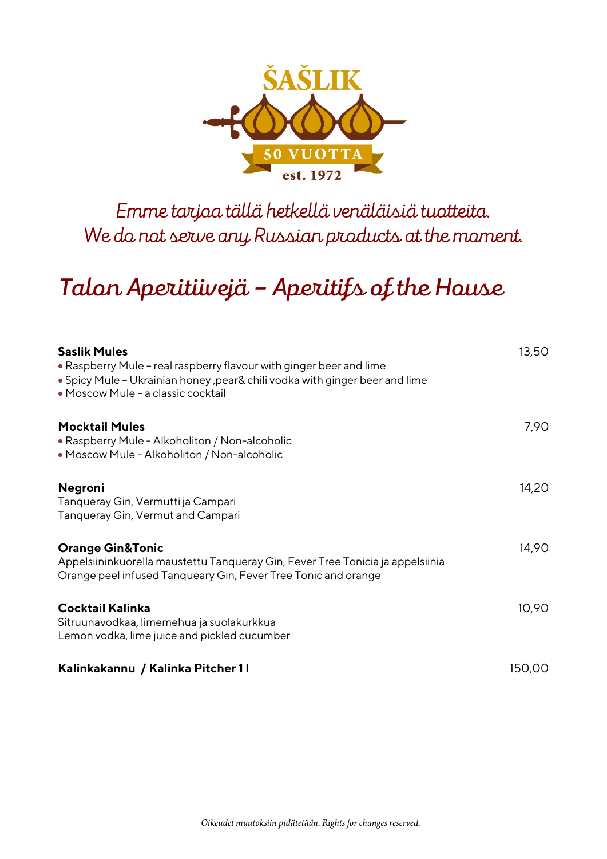

## *Emme tarjoa tällä hetkellä venäläisiä tuotteita. We do not serve any Russian products at the moment.*

# *Talon Aperitiivejä – Aperitifs of the House*

| Saslik Mules<br>• Raspberry Mule - real raspberry flavour with ginger beer and lime<br>. Spicy Mule - Ukrainian honey, pear& chili vodka with ginger beer and lime<br>· Moscow Mule - a classic cocktail | 13,50  |
|----------------------------------------------------------------------------------------------------------------------------------------------------------------------------------------------------------|--------|
| <b>Mocktail Mules</b><br>• Raspberry Mule - Alkoholiton / Non-alcoholic<br>• Moscow Mule - Alkoholiton / Non-alcoholic                                                                                   | 7,90   |
| Negroni<br>Tanqueray Gin, Vermutti ja Campari<br>Tanqueray Gin, Vermut and Campari                                                                                                                       | 14,20  |
| <b>Orange Gin&amp;Tonic</b><br>Appelsiininkuorella maustettu Tanqueray Gin, Fever Tree Tonicia ja appelsiinia<br>Orange peel infused Tanqueary Gin, Fever Tree Tonic and orange                          | 14,90  |
| Cocktail Kalinka<br>Sitruunavodkaa, limemehua ja suolakurkkua<br>Lemon vodka, lime juice and pickled cucumber                                                                                            | 10,90  |
| Kalinkakannu / Kalinka Pitcher 11                                                                                                                                                                        | 150,00 |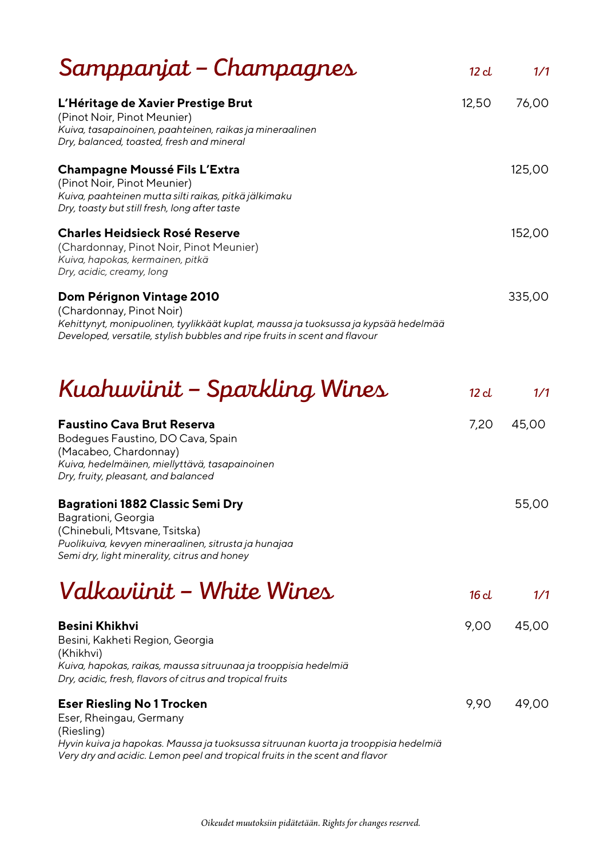| Samppanjat – Champagnes                                                                                                                                                                                                                          | 12 <sub>cl</sub> | 1/1    |
|--------------------------------------------------------------------------------------------------------------------------------------------------------------------------------------------------------------------------------------------------|------------------|--------|
| L'Héritage de Xavier Prestige Brut<br>(Pinot Noir, Pinot Meunier)<br>Kuiva, tasapainoinen, paahteinen, raikas ja mineraalinen                                                                                                                    | 12,50            | 76,00  |
| Dry, balanced, toasted, fresh and mineral                                                                                                                                                                                                        |                  |        |
| <b>Champagne Moussé Fils L'Extra</b><br>(Pinot Noir, Pinot Meunier)<br>Kuiva, paahteinen mutta silti raikas, pitkä jälkimaku<br>Dry, toasty but still fresh, long after taste                                                                    |                  | 125,00 |
| <b>Charles Heidsieck Rosé Reserve</b><br>(Chardonnay, Pinot Noir, Pinot Meunier)<br>Kuiva, hapokas, kermainen, pitkä<br>Dry, acidic, creamy, long                                                                                                |                  | 152,00 |
| Dom Pérignon Vintage 2010<br>(Chardonnay, Pinot Noir)<br>Kehittynyt, monipuolinen, tyylikkäät kuplat, maussa ja tuoksussa ja kypsää hedelmää<br>Developed, versatile, stylish bubbles and ripe fruits in scent and flavour                       |                  | 335,00 |
| Kuahuviinit – Sparkling Wines                                                                                                                                                                                                                    | 12 <sub>cl</sub> | 1/1    |
| <b>Faustino Cava Brut Reserva</b><br>Bodegues Faustino, DO Cava, Spain<br>(Macabeo, Chardonnay)<br>Kuiva, hedelmäinen, miellyttävä, tasapainoinen<br>Dry, fruity, pleasant, and balanced                                                         | 7,20             | 45,00  |
| <b>Bagrationi 1882 Classic Semi Dry</b><br>Bagrationi, Georgia<br>(Chinebuli, Mtsvane, Tsitska)<br>Puolikuiva, kevyen mineraalinen, sitrusta ja hunajaa<br>Semi dry, light minerality, citrus and honey                                          |                  | 55,00  |
| Valkaviinit – White Wines                                                                                                                                                                                                                        | 16d              | 1/1    |
| <b>Besini Khikhvi</b><br>Besini, Kakheti Region, Georgia<br>(Khikhvi)<br>Kuiva, hapokas, raikas, maussa sitruunaa ja trooppisia hedelmiä<br>Dry, acidic, fresh, flavors of citrus and tropical fruits                                            | 9,00             | 45,00  |
| <b>Eser Riesling No 1 Trocken</b><br>Eser, Rheingau, Germany<br>(Riesling)<br>Hyvin kuiva ja hapokas. Maussa ja tuoksussa sitruunan kuorta ja trooppisia hedelmiä<br>Very dry and acidic. Lemon peel and tropical fruits in the scent and flavor | 9,90             | 49,00  |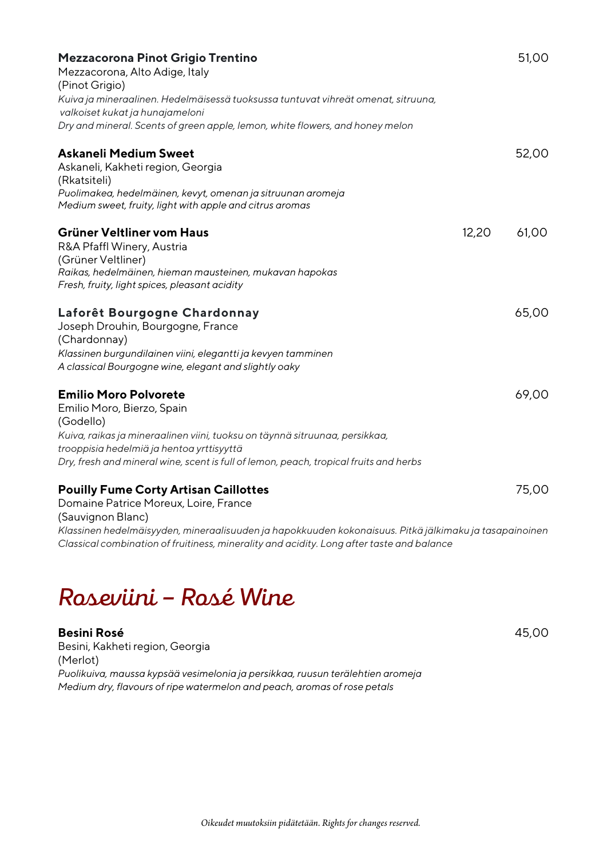| Mezzacorona Pinot Grigio Trentino<br>Mezzacorona, Alto Adige, Italy<br>(Pinot Grigio)<br>Kuiva ja mineraalinen. Hedelmäisessä tuoksussa tuntuvat vihreät omenat, sitruuna,                                               |       | 51,00 |
|--------------------------------------------------------------------------------------------------------------------------------------------------------------------------------------------------------------------------|-------|-------|
| valkoiset kukat ja hunajameloni                                                                                                                                                                                          |       |       |
| Dry and mineral. Scents of green apple, lemon, white flowers, and honey melon                                                                                                                                            |       |       |
| <b>Askaneli Medium Sweet</b><br>Askaneli, Kakheti region, Georgia<br>(Rkatsiteli)                                                                                                                                        |       | 52,00 |
| Puolimakea, hedelmäinen, kevyt, omenan ja sitruunan aromeja<br>Medium sweet, fruity, light with apple and citrus aromas                                                                                                  |       |       |
| Grüner Veltliner vom Haus<br>R&A Pfaffl Winery, Austria<br>(Grüner Veltliner)                                                                                                                                            | 12,20 | 61,00 |
| Raikas, hedelmäinen, hieman mausteinen, mukavan hapokas<br>Fresh, fruity, light spices, pleasant acidity                                                                                                                 |       |       |
| Laforêt Bourgogne Chardonnay<br>Joseph Drouhin, Bourgogne, France                                                                                                                                                        |       | 65,00 |
| (Chardonnay)<br>Klassinen burgundilainen viini, elegantti ja kevyen tamminen                                                                                                                                             |       |       |
| A classical Bourgogne wine, elegant and slightly oaky                                                                                                                                                                    |       |       |
| <b>Emilio Moro Polvorete</b><br>Emilio Moro, Bierzo, Spain<br>(Godello)                                                                                                                                                  |       | 69,00 |
| Kuiva, raikas ja mineraalinen viini, tuoksu on täynnä sitruunaa, persikkaa,                                                                                                                                              |       |       |
| trooppisia hedelmiä ja hentoa yrttisyyttä                                                                                                                                                                                |       |       |
| Dry, fresh and mineral wine, scent is full of lemon, peach, tropical fruits and herbs                                                                                                                                    |       |       |
| <b>Pouilly Fume Corty Artisan Caillottes</b><br>Domaine Patrice Moreux, Loire, France                                                                                                                                    |       | 75,00 |
| (Sauvignon Blanc)<br>Klassinen hedelmäisyyden, mineraalisuuden ja hapokkuuden kokonaisuus. Pitkä jälkimaku ja tasapainoinen<br>Classical combination of fruitiness, minerality and acidity. Long after taste and balance |       |       |

## *Roseviini – Rosé Wine*

#### **Besini Rosé** 45,00

Besini, Kakheti region, Georgia (Merlot) *Puolikuiva, maussa kypsää vesimelonia ja persikkaa, ruusun terälehtien aromeja Medium dry, flavours of ripe watermelon and peach, aromas of rose petals*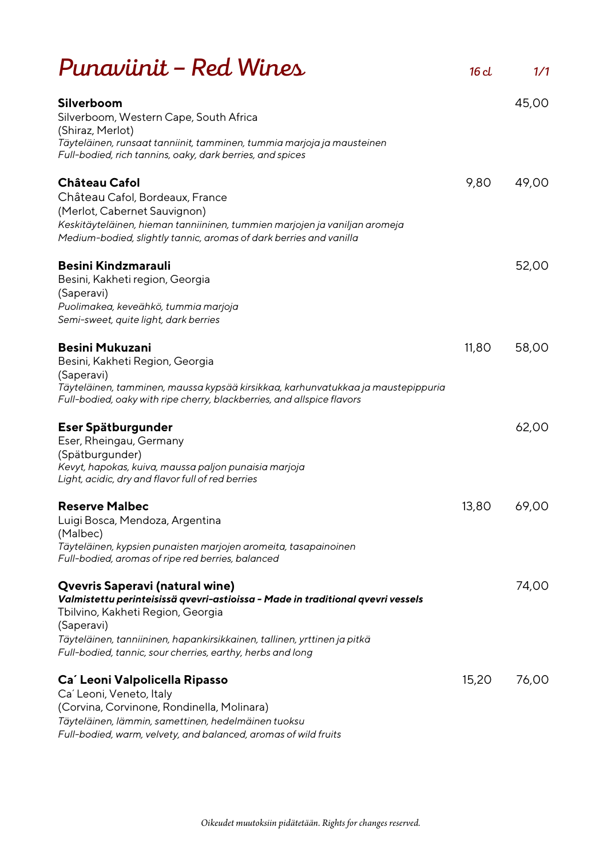| Punaviinit – Red Wines                                                                                                                                                                                                                                                                                          | 16d   | 1/1   |
|-----------------------------------------------------------------------------------------------------------------------------------------------------------------------------------------------------------------------------------------------------------------------------------------------------------------|-------|-------|
| <b>Silverboom</b><br>Silverboom, Western Cape, South Africa<br>(Shiraz, Merlot)<br>Täyteläinen, runsaat tanniinit, tamminen, tummia marjoja ja mausteinen<br>Full-bodied, rich tannins, oaky, dark berries, and spices                                                                                          |       | 45,00 |
| <b>Château Cafol</b><br>Château Cafol, Bordeaux, France                                                                                                                                                                                                                                                         | 9,80  | 49,00 |
| (Merlot, Cabernet Sauvignon)<br>Keskitäyteläinen, hieman tanniininen, tummien marjojen ja vaniljan aromeja<br>Medium-bodied, slightly tannic, aromas of dark berries and vanilla                                                                                                                                |       |       |
| Besini Kindzmarauli<br>Besini, Kakheti region, Georgia<br>(Saperavi)<br>Puolimakea, keveähkö, tummia marjoja<br>Semi-sweet, quite light, dark berries                                                                                                                                                           |       | 52,00 |
| <b>Besini Mukuzani</b><br>Besini, Kakheti Region, Georgia<br>(Saperavi)<br>Täyteläinen, tamminen, maussa kypsää kirsikkaa, karhunvatukkaa ja maustepippuria<br>Full-bodied, oaky with ripe cherry, blackberries, and allspice flavors                                                                           | 11,80 | 58,00 |
| Eser Spätburgunder<br>Eser, Rheingau, Germany<br>(Spätburgunder)<br>Kevyt, hapokas, kuiva, maussa paljon punaisia marjoja<br>Light, acidic, dry and flavor full of red berries                                                                                                                                  |       | 62,00 |
| <b>Reserve Malbec</b><br>Luigi Bosca, Mendoza, Argentina<br>(Malbec)<br>Täyteläinen, kypsien punaisten marjojen aromeita, tasapainoinen<br>Full-bodied, aromas of ripe red berries, balanced                                                                                                                    | 13,80 | 69,00 |
| Qvevris Saperavi (natural wine)<br>Valmistettu perinteisissä qvevri-astioissa - Made in traditional qvevri vessels<br>Tbilvino, Kakheti Region, Georgia<br>(Saperavi)<br>Täyteläinen, tanniininen, hapankirsikkainen, tallinen, yrttinen ja pitkä<br>Full-bodied, tannic, sour cherries, earthy, herbs and long |       | 74,00 |
| Ca' Leoni Valpolicella Ripasso<br>Ca' Leoni, Veneto, Italy<br>(Corvina, Corvinone, Rondinella, Molinara)<br>Täyteläinen, lämmin, samettinen, hedelmäinen tuoksu<br>Full-bodied, warm, velvety, and balanced, aromas of wild fruits                                                                              | 15,20 | 76,00 |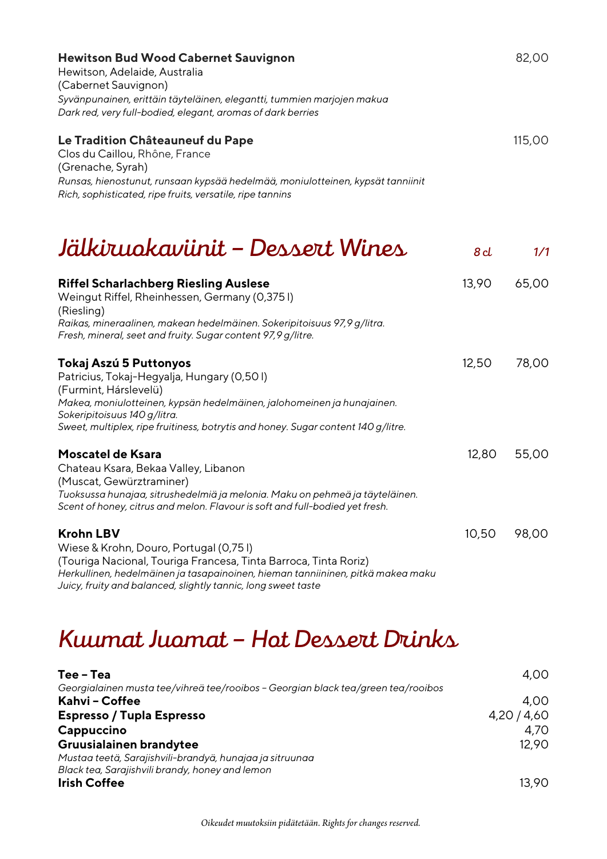| <b>Hewitson Bud Wood Cabernet Sauvignon</b><br>Hewitson, Adelaide, Australia<br>(Cabernet Sauvignon)<br>Syvänpunainen, erittäin täyteläinen, elegantti, tummien marjojen makua<br>Dark red, very full-bodied, elegant, aromas of dark berries                                                |       | 82,00  |
|----------------------------------------------------------------------------------------------------------------------------------------------------------------------------------------------------------------------------------------------------------------------------------------------|-------|--------|
| Le Tradition Châteauneuf du Pape<br>Clos du Caillou, Rhône, France<br>(Grenache, Syrah)<br>Runsas, hienostunut, runsaan kypsää hedelmää, moniulotteinen, kypsät tanniinit<br>Rich, sophisticated, ripe fruits, versatile, ripe tannins                                                       |       | 115,00 |
| Jälkiruokaviinit – Dessert Wines                                                                                                                                                                                                                                                             | 8d    | 1/1    |
| <b>Riffel Scharlachberg Riesling Auslese</b><br>Weingut Riffel, Rheinhessen, Germany (0,3751)<br>(Riesling)<br>Raikas, mineraalinen, makean hedelmäinen. Sokeripitoisuus 97,9 g/litra.<br>Fresh, mineral, seet and fruity. Sugar content 97,9 g/litre.                                       | 13,90 | 65,00  |
| Tokaj Aszú 5 Puttonyos<br>Patricius, Tokaj-Hegyalja, Hungary (0,501)<br>(Furmint, Hárslevelü)<br>Makea, moniulotteinen, kypsän hedelmäinen, jalohomeinen ja hunajainen.<br>Sokeripitoisuus 140 g/litra.<br>Sweet, multiplex, ripe fruitiness, botrytis and honey. Sugar content 140 g/litre. | 12,50 | 78,00  |
| Moscatel de Ksara<br>Chateau Ksara, Bekaa Valley, Libanon<br>(Muscat, Gewürztraminer)<br>Tuoksussa hunajaa, sitrushedelmiä ja melonia. Maku on pehmeä ja täyteläinen.<br>Scent of honey, citrus and melon. Flavour is soft and full-bodied yet fresh.                                        | 12,80 | 55,00  |
| <b>Krohn LBV</b><br>Wiese & Krohn, Douro, Portugal (0,751)<br>(Touriga Nacional, Touriga Francesa, Tinta Barroca, Tinta Roriz)<br>Herkullinen, hedelmäinen ja tasapainoinen, hieman tanniininen, pitkä makea maku<br>Juicy, fruity and balanced, slightly tannic, long sweet taste           | 10,50 | 98,00  |
| Kuumat Juamat – Hat Dessert Drinks                                                                                                                                                                                                                                                           |       |        |

| Tee - Tea                                                                         | 4,00      |
|-----------------------------------------------------------------------------------|-----------|
| Georgialainen musta tee/vihreä tee/rooibos - Georgian black tea/green tea/rooibos |           |
| Kahvi - Coffee                                                                    | 4.00      |
| <b>Espresso / Tupla Espresso</b>                                                  | 4,20/4,60 |
| Cappuccino                                                                        | 4,70      |
| Gruusialainen brandytee                                                           | 12.90     |
| Mustaa teetä, Sarajishvili-brandyä, hunajaa ja sitruunaa                          |           |
| Black tea, Sarajishvili brandy, honey and lemon                                   |           |
| <b>Irish Coffee</b>                                                               | 13.90     |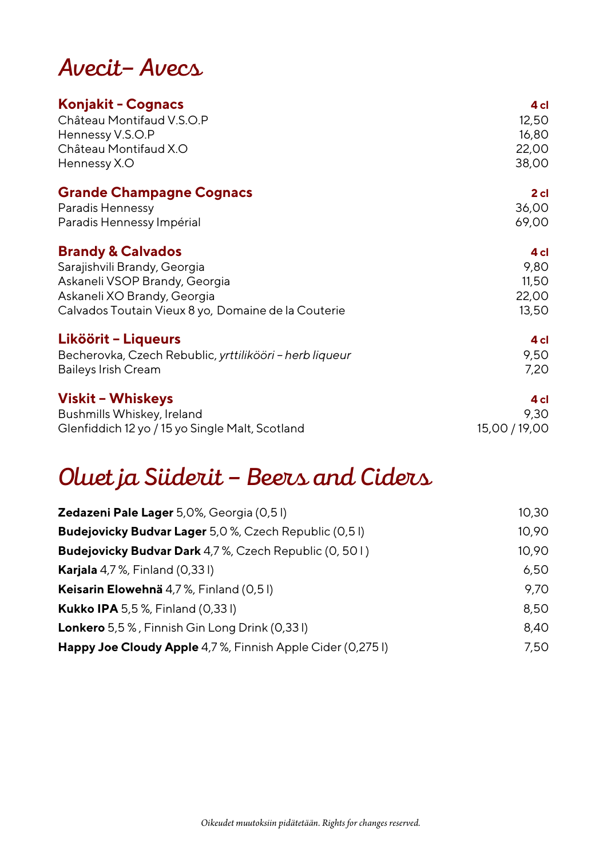## *Avecit– Avecs*

| <b>Konjakit - Cognacs</b>                               | 4 cl          |
|---------------------------------------------------------|---------------|
| Château Montifaud V.S.O.P                               | 12,50         |
| Hennessy V.S.O.P                                        | 16,80         |
| Château Montifaud X.O                                   | 22,00         |
| Hennessy X.O                                            | 38,00         |
| <b>Grande Champagne Cognacs</b>                         | $2$ cl        |
| Paradis Hennessy                                        | 36,00         |
| Paradis Hennessy Impérial                               | 69,00         |
| <b>Brandy &amp; Calvados</b>                            | 4 cl          |
| Sarajishvili Brandy, Georgia                            | 9,80          |
| Askaneli VSOP Brandy, Georgia                           | 11,50         |
| Askaneli XO Brandy, Georgia                             | 22,00         |
| Calvados Toutain Vieux 8 yo, Domaine de la Couterie     | 13,50         |
| Liköörit - Liqueurs                                     | 4 cl          |
| Becherovka, Czech Rebublic, yrttilikööri - herb liqueur | 9,50          |
| <b>Baileys Irish Cream</b>                              | 7,20          |
| Viskit – Whiskeys                                       | 4 cl          |
| Bushmills Whiskey, Ireland                              | 9,30          |
| Glenfiddich 12 yo / 15 yo Single Malt, Scotland         | 15,00 / 19,00 |

# *Oluet ja Siiderit – Beers and Ciders*

| Zedazeni Pale Lager 5,0%, Georgia (0,51)                         | 10.30 |
|------------------------------------------------------------------|-------|
| Budejovicky Budvar Lager 5,0 %, Czech Republic (0,51)            | 10,90 |
| <b>Budejovicky Budvar Dark</b> 4,7 %, Czech Republic (0, 501)    | 10,90 |
| <b>Karjala</b> 4,7 %, Finland $(0,331)$                          | 6,50  |
| Keisarin Elowehnä 4,7%, Finland (0,51)                           | 9.70  |
| <b>Kukko IPA</b> 5,5%, Finland (0,331)                           | 8,50  |
| <b>Lonkero</b> 5,5 %, Finnish Gin Long Drink (0,331)             | 8,40  |
| <b>Happy Joe Cloudy Apple</b> 4,7%, Finnish Apple Cider (0,2751) | 7,50  |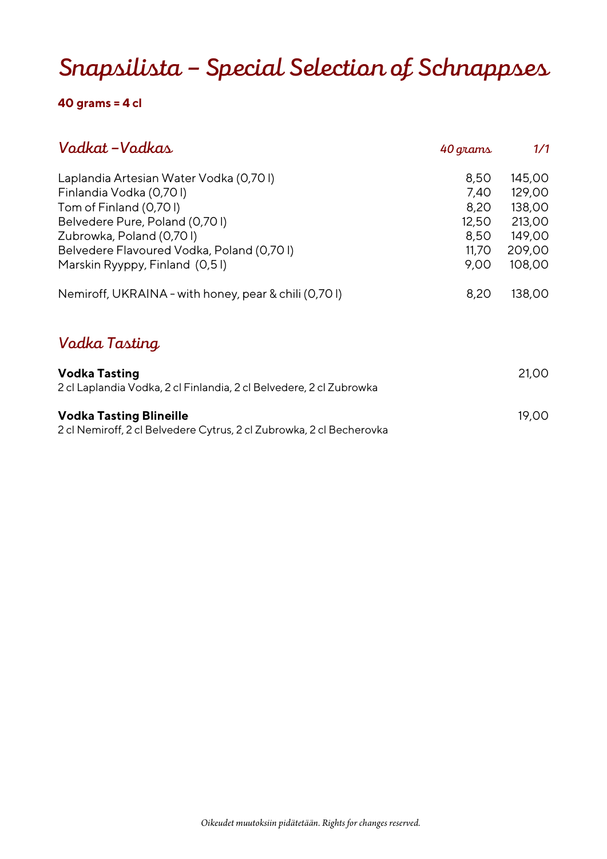## *Snapsilista – Special Selection of Schnappses*

### **40 grams = 4 cl**

| Vadkat – Vadkas                                                                                        | 40 grams | 1/1    |
|--------------------------------------------------------------------------------------------------------|----------|--------|
| Laplandia Artesian Water Vodka (0,701)                                                                 | 8,50     | 145,00 |
| Finlandia Vodka (0,701)                                                                                | 7,40     | 129,00 |
| Tom of Finland (0,701)                                                                                 | 8,20     | 138,00 |
| Belvedere Pure, Poland (0,701)                                                                         | 12,50    | 213,00 |
| Zubrowka, Poland (0,701)                                                                               | 8,50     | 149,00 |
| Belvedere Flavoured Vodka, Poland (0,701)                                                              | 11,70    | 209,00 |
| Marskin Ryyppy, Finland (0,51)                                                                         | 9,00     | 108,00 |
| Nemiroff, UKRAINA - with honey, pear & chili (0,701)                                                   | 8,20     | 138,00 |
| Vadka Tasting                                                                                          |          |        |
| <b>Vodka Tasting</b><br>2 cl Laplandia Vodka, 2 cl Finlandia, 2 cl Belvedere, 2 cl Zubrowka            |          | 21,00  |
| <b>Vodka Tasting Blineille</b><br>2 cl Nemiroff, 2 cl Belvedere Cytrus, 2 cl Zubrowka, 2 cl Becherovka |          | 19,00  |